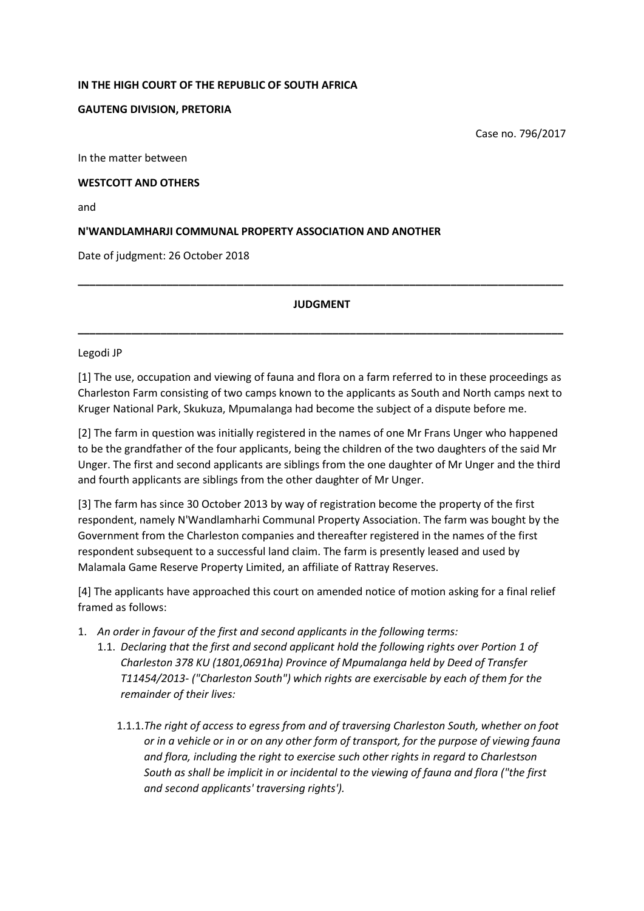#### **IN THE HIGH COURT OF THE REPUBLIC OF SOUTH AFRICA**

### **GAUTENG DIVISION, PRETORIA**

Case no. 796/2017

In the matter between

### **WESTCOTT AND OTHERS**

and

## **N'WANDLAMHARJI COMMUNAL PROPERTY ASSOCIATION AND ANOTHER**

Date of judgment: 26 October 2018

### **JUDGMENT**

**\_\_\_\_\_\_\_\_\_\_\_\_\_\_\_\_\_\_\_\_\_\_\_\_\_\_\_\_\_\_\_\_\_\_\_\_\_\_\_\_\_\_\_\_\_\_\_\_\_\_\_\_\_\_\_\_\_\_\_\_\_\_\_\_\_\_\_\_\_\_\_\_\_\_\_\_\_\_\_\_\_\_**

**\_\_\_\_\_\_\_\_\_\_\_\_\_\_\_\_\_\_\_\_\_\_\_\_\_\_\_\_\_\_\_\_\_\_\_\_\_\_\_\_\_\_\_\_\_\_\_\_\_\_\_\_\_\_\_\_\_\_\_\_\_\_\_\_\_\_\_\_\_\_\_\_\_\_\_\_\_\_\_\_\_\_**

#### Legodi JP

[1] The use, occupation and viewing of fauna and flora on a farm referred to in these proceedings as Charleston Farm consisting of two camps known to the applicants as South and North camps next to Kruger National Park, Skukuza, Mpumalanga had become the subject of a dispute before me.

[2] The farm in question was initially registered in the names of one Mr Frans Unger who happened to be the grandfather of the four applicants, being the children of the two daughters of the said Mr Unger. The first and second applicants are siblings from the one daughter of Mr Unger and the third and fourth applicants are siblings from the other daughter of Mr Unger.

[3] The farm has since 30 October 2013 by way of registration become the property of the first respondent, namely N'Wandlamharhi Communal Property Association. The farm was bought by the Government from the Charleston companies and thereafter registered in the names of the first respondent subsequent to a successful land claim. The farm is presently leased and used by Malamala Game Reserve Property Limited, an affiliate of Rattray Reserves.

[4] The applicants have approached this court on amended notice of motion asking for a final relief framed as follows:

- 1. *An order in favour of the first and second applicants in the following terms:*
	- 1.1. *Declaring that the first and second applicant hold the following rights over Portion 1 of Charleston 378 KU (1801,0691ha) Province of Mpumalanga held by Deed of Transfer T11454/2013- ("Charleston South") which rights are exercisable by each of them for the remainder of their lives:* 
		- 1.1.1.*The right of access to egress from and of traversing Charleston South, whether on foot or in a vehicle or in or on any other form of transport, for the purpose of viewing fauna and flora, including the right to exercise such other rights in regard to Charlestson South as shall be implicit in or incidental to the viewing of fauna and flora ("the first and second applicants' traversing rights').*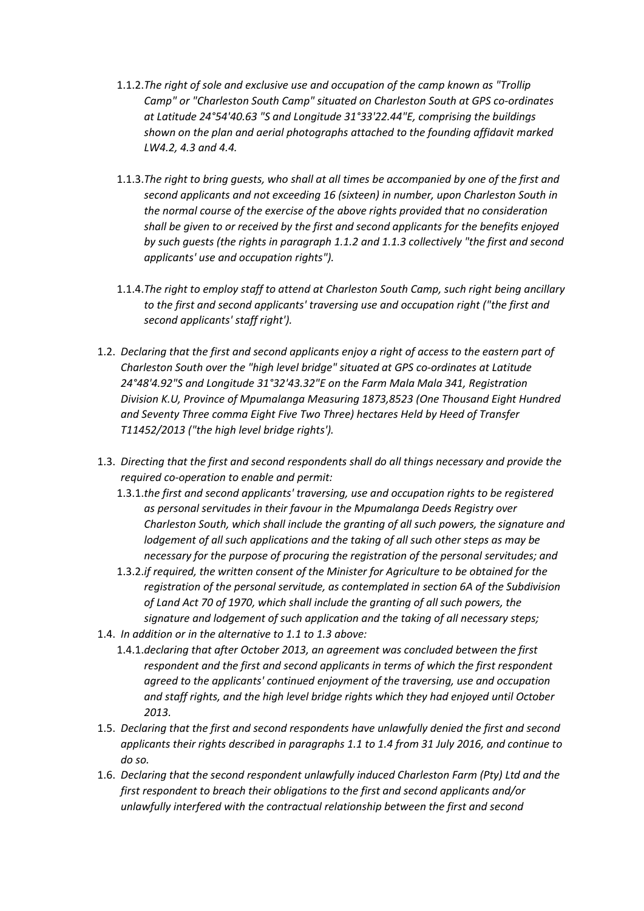- 1.1.2.*The right of sole and exclusive use and occupation of the camp known as "Trollip Camp" or "Charleston South Camp" situated on Charleston South at GPS co-ordinates at Latitude 24°54'40.63 "S and Longitude 31°33'22.44"E, comprising the buildings shown on the plan and aerial photographs attached to the founding affidavit marked LW4.2, 4.3 and 4.4.*
- 1.1.3.*The right to bring guests, who shall at all times be accompanied by one of the first and second applicants and not exceeding 16 (sixteen) in number, upon Charleston South in the normal course of the exercise of the above rights provided that no consideration shall be given to or received by the first and second applicants for the benefits enjoyed by such guests (the rights in paragraph 1.1.2 and 1.1.3 collectively "the first and second applicants' use and occupation rights").*
- 1.1.4.*The right to employ staff to attend at Charleston South Camp, such right being ancillary to the first and second applicants' traversing use and occupation right ("the first and second applicants' staff right').*
- 1.2. *Declaring that the first and second applicants enjoy a right of access to the eastern part of Charleston South over the "high level bridge" situated at GPS co-ordinates at Latitude 24°48'4.92"S and Longitude 31°32'43.32"E on the Farm Mala Mala 341, Registration Division K.U, Province of Mpumalanga Measuring 1873,8523 (One Thousand Eight Hundred and Seventy Three comma Eight Five Two Three) hectares Held by Heed of Transfer T11452/2013 ("the high level bridge rights').*
- 1.3. *Directing that the first and second respondents shall do all things necessary and provide the required co-operation to enable and permit:*
	- 1.3.1.*the first and second applicants' traversing, use and occupation rights to be registered as personal servitudes in their favour in the Mpumalanga Deeds Registry over Charleston South, which shall include the granting of all such powers, the signature and lodgement of all such applications and the taking of all such other steps as may be necessary for the purpose of procuring the registration of the personal servitudes; and*
	- 1.3.2.*if required, the written consent of the Minister for Agriculture to be obtained for the registration of the personal servitude, as contemplated in section 6A of the Subdivision of Land Act 70 of 1970, which shall include the granting of all such powers, the signature and lodgement of such application and the taking of all necessary steps;*
- 1.4. *In addition or in the alternative to 1.1 to 1.3 above:*
	- 1.4.1.*declaring that after October 2013, an agreement was concluded between the first respondent and the first and second applicants in terms of which the first respondent agreed to the applicants' continued enjoyment of the traversing, use and occupation and staff rights, and the high level bridge rights which they had enjoyed until October 2013.*
- 1.5. *Declaring that the first and second respondents have unlawfully denied the first and second applicants their rights described in paragraphs 1.1 to 1.4 from 31 July 2016, and continue to do so.*
- 1.6. *Declaring that the second respondent unlawfully induced Charleston Farm (Pty) Ltd and the first respondent to breach their obligations to the first and second applicants and/or unlawfully interfered with the contractual relationship between the first and second*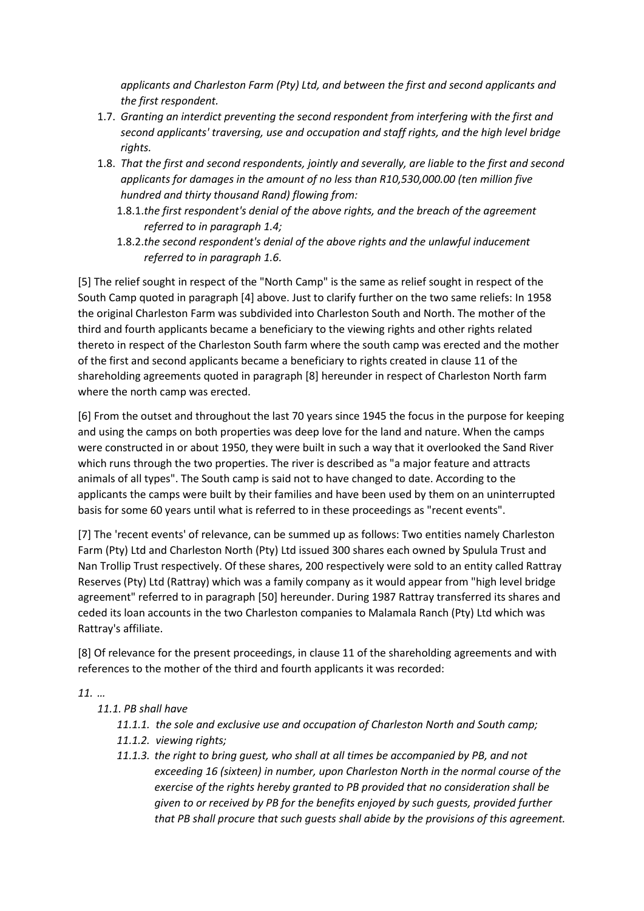*applicants and Charleston Farm (Pty) Ltd, and between the first and second applicants and the first respondent.*

- 1.7. *Granting an interdict preventing the second respondent from interfering with the first and second applicants' traversing, use and occupation and staff rights, and the high level bridge rights.*
- 1.8. *That the first and second respondents, jointly and severally, are liable to the first and second applicants for damages in the amount of no less than R10,530,000.00 (ten million five hundred and thirty thousand Rand) flowing from:*
	- 1.8.1.*the first respondent's denial of the above rights, and the breach of the agreement referred to in paragraph 1.4;*
	- 1.8.2.*the second respondent's denial of the above rights and the unlawful inducement referred to in paragraph 1.6.*

[5] The relief sought in respect of the "North Camp" is the same as relief sought in respect of the South Camp quoted in paragraph [4] above. Just to clarify further on the two same reliefs: In 1958 the original Charleston Farm was subdivided into Charleston South and North. The mother of the third and fourth applicants became a beneficiary to the viewing rights and other rights related thereto in respect of the Charleston South farm where the south camp was erected and the mother of the first and second applicants became a beneficiary to rights created in clause 11 of the shareholding agreements quoted in paragraph [8] hereunder in respect of Charleston North farm where the north camp was erected.

[6] From the outset and throughout the last 70 years since 1945 the focus in the purpose for keeping and using the camps on both properties was deep love for the land and nature. When the camps were constructed in or about 1950, they were built in such a way that it overlooked the Sand River which runs through the two properties. The river is described as "a major feature and attracts animals of all types". The South camp is said not to have changed to date. According to the applicants the camps were built by their families and have been used by them on an uninterrupted basis for some 60 years until what is referred to in these proceedings as "recent events".

[7] The 'recent events' of relevance, can be summed up as follows: Two entities namely Charleston Farm (Pty) Ltd and Charleston North (Pty) Ltd issued 300 shares each owned by Spulula Trust and Nan Trollip Trust respectively. Of these shares, 200 respectively were sold to an entity called Rattray Reserves (Pty) Ltd (Rattray) which was a family company as it would appear from "high level bridge agreement" referred to in paragraph [50] hereunder. During 1987 Rattray transferred its shares and ceded its loan accounts in the two Charleston companies to Malamala Ranch (Pty) Ltd which was Rattray's affiliate.

[8] Of relevance for the present proceedings, in clause 11 of the shareholding agreements and with references to the mother of the third and fourth applicants it was recorded:

*11. …* 

# *11.1. PB shall have*

- *11.1.1. the sole and exclusive use and occupation of Charleston North and South camp;*
- *11.1.2. viewing rights;*
- *11.1.3. the right to bring guest, who shall at all times be accompanied by PB, and not exceeding 16 (sixteen) in number, upon Charleston North in the normal course of the exercise of the rights hereby granted to PB provided that no consideration shall be given to or received by PB for the benefits enjoyed by such guests, provided further that PB shall procure that such guests shall abide by the provisions of this agreement.*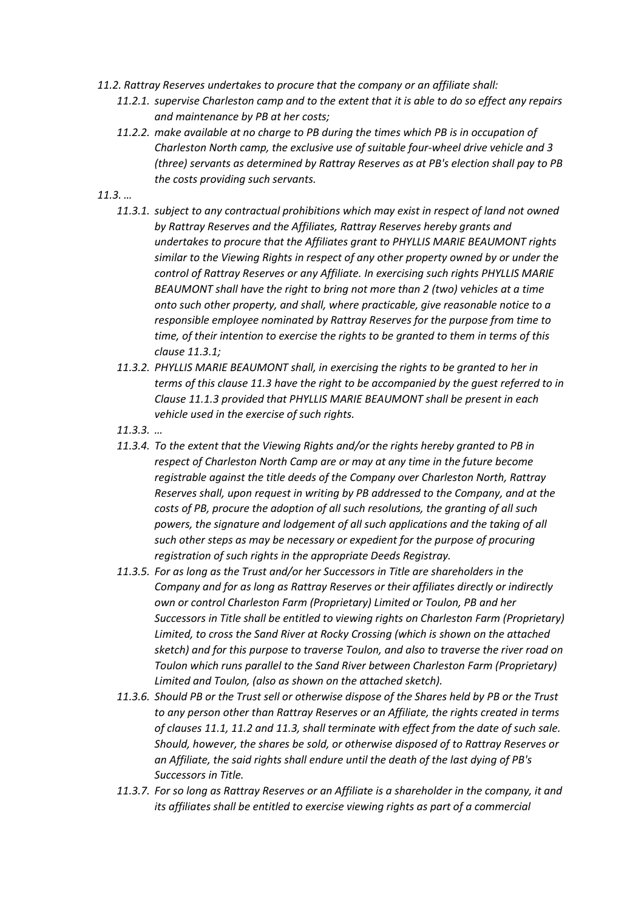- *11.2. Rattray Reserves undertakes to procure that the company or an affiliate shall:*
	- *11.2.1. supervise Charleston camp and to the extent that it is able to do so effect any repairs and maintenance by PB at her costs;*
	- *11.2.2. make available at no charge to PB during the times which PB is in occupation of Charleston North camp, the exclusive use of suitable four-wheel drive vehicle and 3 (three) servants as determined by Rattray Reserves as at PB's election shall pay to PB the costs providing such servants.*
- *11.3. …*
	- *11.3.1. subject to any contractual prohibitions which may exist in respect of land not owned by Rattray Reserves and the Affiliates, Rattray Reserves hereby grants and undertakes to procure that the Affiliates grant to PHYLLIS MARIE BEAUMONT rights similar to the Viewing Rights in respect of any other property owned by or under the control of Rattray Reserves or any Affiliate. In exercising such rights PHYLLIS MARIE BEAUMONT shall have the right to bring not more than 2 (two) vehicles at a time onto such other property, and shall, where practicable, give reasonable notice to a responsible employee nominated by Rattray Reserves for the purpose from time to time, of their intention to exercise the rights to be granted to them in terms of this clause 11.3.1;*
	- *11.3.2. PHYLLIS MARIE BEAUMONT shall, in exercising the rights to be granted to her in terms of this clause 11.3 have the right to be accompanied by the guest referred to in Clause 11.1.3 provided that PHYLLIS MARIE BEAUMONT shall be present in each vehicle used in the exercise of such rights.*
	- *11.3.3. …*
	- *11.3.4. To the extent that the Viewing Rights and/or the rights hereby granted to PB in respect of Charleston North Camp are or may at any time in the future become registrable against the title deeds of the Company over Charleston North, Rattray Reserves shall, upon request in writing by PB addressed to the Company, and at the costs of PB, procure the adoption of all such resolutions, the granting of all such powers, the signature and lodgement of all such applications and the taking of all such other steps as may be necessary or expedient for the purpose of procuring registration of such rights in the appropriate Deeds Registray.*
	- *11.3.5. For as long as the Trust and/or her Successors in Title are shareholders in the Company and for as long as Rattray Reserves or their affiliates directly or indirectly own or control Charleston Farm (Proprietary) Limited or Toulon, PB and her Successors in Title shall be entitled to viewing rights on Charleston Farm (Proprietary) Limited, to cross the Sand River at Rocky Crossing (which is shown on the attached sketch) and for this purpose to traverse Toulon, and also to traverse the river road on Toulon which runs parallel to the Sand River between Charleston Farm (Proprietary) Limited and Toulon, (also as shown on the attached sketch).*
	- *11.3.6. Should PB or the Trust sell or otherwise dispose of the Shares held by PB or the Trust to any person other than Rattray Reserves or an Affiliate, the rights created in terms of clauses 11.1, 11.2 and 11.3, shall terminate with effect from the date of such sale. Should, however, the shares be sold, or otherwise disposed of to Rattray Reserves or an Affiliate, the said rights shall endure until the death of the last dying of PB's Successors in Title.*
	- *11.3.7. For so long as Rattray Reserves or an Affiliate is a shareholder in the company, it and its affiliates shall be entitled to exercise viewing rights as part of a commercial*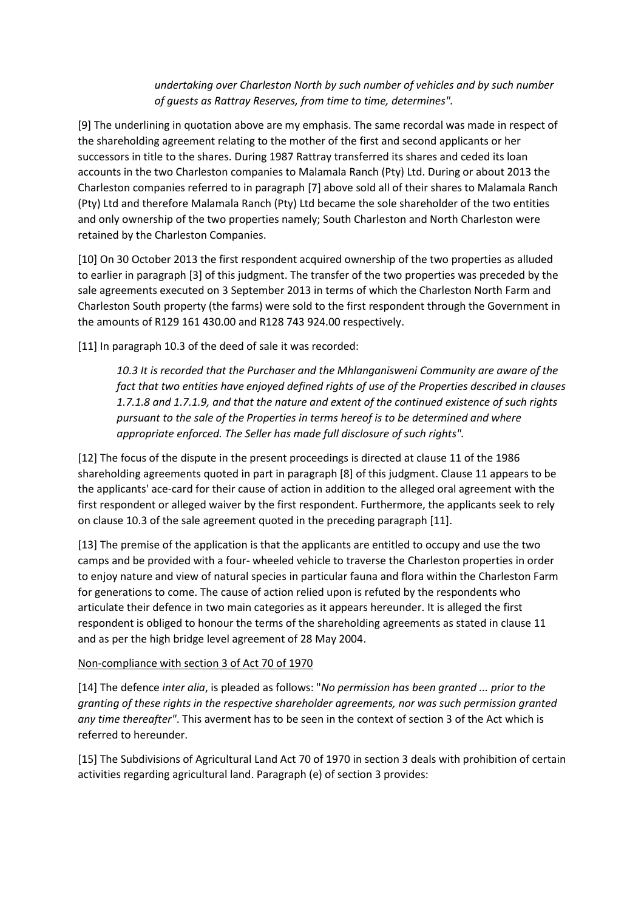*undertaking over Charleston North by such number of vehicles and by such number of guests as Rattray Reserves, from time to time, determines".*

[9] The underlining in quotation above are my emphasis. The same recordal was made in respect of the shareholding agreement relating to the mother of the first and second applicants or her successors in title to the shares. During 1987 Rattray transferred its shares and ceded its loan accounts in the two Charleston companies to Malamala Ranch (Pty) Ltd. During or about 2013 the Charleston companies referred to in paragraph [7] above sold all of their shares to Malamala Ranch (Pty) Ltd and therefore Malamala Ranch (Pty) Ltd became the sole shareholder of the two entities and only ownership of the two properties namely; South Charleston and North Charleston were retained by the Charleston Companies.

[10] On 30 October 2013 the first respondent acquired ownership of the two properties as alluded to earlier in paragraph [3] of this judgment. The transfer of the two properties was preceded by the sale agreements executed on 3 September 2013 in terms of which the Charleston North Farm and Charleston South property (the farms) were sold to the first respondent through the Government in the amounts of R129 161 430.00 and R128 743 924.00 respectively.

[11] In paragraph 10.3 of the deed of sale it was recorded:

*10.3 It is recorded that the Purchaser and the Mhlanganisweni Community are aware of the fact that two entities have enjoyed defined rights of use of the Properties described in clauses 1.7.1.8 and 1.7.1.9, and that the nature and extent of the continued existence of such rights pursuant to the sale of the Properties in terms hereof is to be determined and where appropriate enforced. The Seller has made full disclosure of such rights".*

[12] The focus of the dispute in the present proceedings is directed at clause 11 of the 1986 shareholding agreements quoted in part in paragraph [8] of this judgment. Clause 11 appears to be the applicants' ace-card for their cause of action in addition to the alleged oral agreement with the first respondent or alleged waiver by the first respondent. Furthermore, the applicants seek to rely on clause 10.3 of the sale agreement quoted in the preceding paragraph [11].

[13] The premise of the application is that the applicants are entitled to occupy and use the two camps and be provided with a four- wheeled vehicle to traverse the Charleston properties in order to enjoy nature and view of natural species in particular fauna and flora within the Charleston Farm for generations to come. The cause of action relied upon is refuted by the respondents who articulate their defence in two main categories as it appears hereunder. It is alleged the first respondent is obliged to honour the terms of the shareholding agreements as stated in clause 11 and as per the high bridge level agreement of 28 May 2004.

### Non-compliance with section 3 of Act 70 of 1970

[14] The defence *inter alia*, is pleaded as follows: "*No permission has been granted ... prior to the granting of these rights in the respective shareholder agreements, nor was such permission granted any time thereafter"*. This averment has to be seen in the context of section 3 of the Act which is referred to hereunder.

[15] The Subdivisions of Agricultural Land Act 70 of 1970 in section 3 deals with prohibition of certain activities regarding agricultural land. Paragraph (e) of section 3 provides: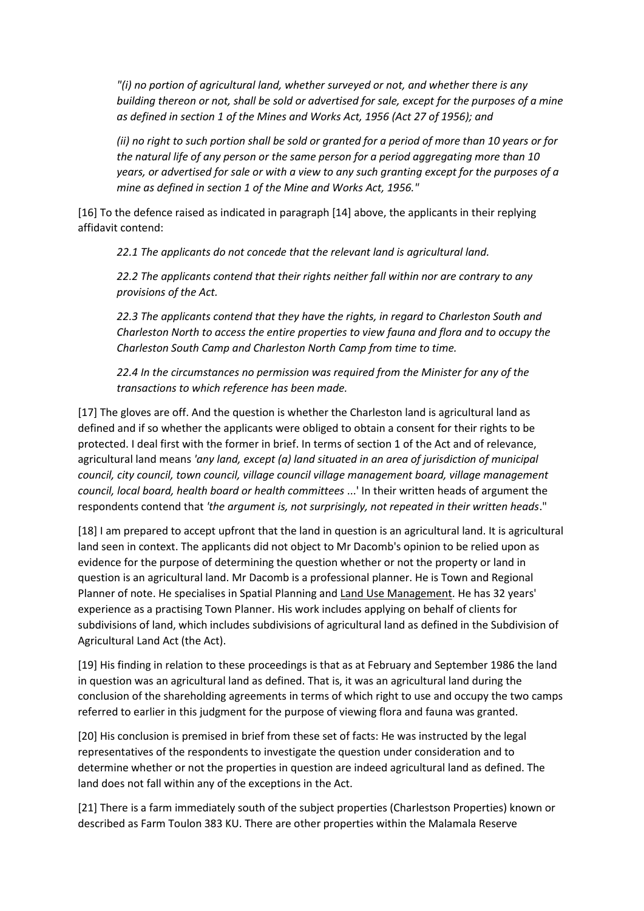*"(i) no portion of agricultural land, whether surveyed or not, and whether there is any building thereon or not, shall be sold or advertised for sale, except for the purposes of a mine as defined in section 1 of the Mines and Works Act, 1956 (Act 27 of 1956); and*

*(ii) no right to such portion shall be sold or granted for a period of more than 10 years or for the natural life of any person or the same person for a period aggregating more than 10 years, or advertised for sale or with a view to any such granting except for the purposes of a mine as defined in section 1 of the Mine and Works Act, 1956."*

[16] To the defence raised as indicated in paragraph [14] above, the applicants in their replying affidavit contend:

*22.1 The applicants do not concede that the relevant land is agricultural land.*

*22.2 The applicants contend that their rights neither fall within nor are contrary to any provisions of the Act.*

*22.3 The applicants contend that they have the rights, in regard to Charleston South and Charleston North to access the entire properties to view fauna and flora and to occupy the Charleston South Camp and Charleston North Camp from time to time.*

*22.4 In the circumstances no permission was required from the Minister for any of the transactions to which reference has been made.*

[17] The gloves are off. And the question is whether the Charleston land is agricultural land as defined and if so whether the applicants were obliged to obtain a consent for their rights to be protected. I deal first with the former in brief. In terms of section 1 of the Act and of relevance, agricultural land means *'any land, except (a) land situated in an area of jurisdiction of municipal council, city council, town council, village council village management board, village management council, local board, health board or health committees* ...' In their written heads of argument the respondents contend that *'the argument is, not surprisingly, not repeated in their written heads*."

[18] I am prepared to accept upfront that the land in question is an agricultural land. It is agricultural land seen in context. The applicants did not object to Mr Dacomb's opinion to be relied upon as evidence for the purpose of determining the question whether or not the property or land in question is an agricultural land. Mr Dacomb is a professional planner. He is Town and Regional Planner of note. He specialises in Spatial Planning and Land Use Management. He has 32 years' experience as a practising Town Planner. His work includes applying on behalf of clients for subdivisions of land, which includes subdivisions of agricultural land as defined in the Subdivision of Agricultural Land Act (the Act).

[19] His finding in relation to these proceedings is that as at February and September 1986 the land in question was an agricultural land as defined. That is, it was an agricultural land during the conclusion of the shareholding agreements in terms of which right to use and occupy the two camps referred to earlier in this judgment for the purpose of viewing flora and fauna was granted.

[20] His conclusion is premised in brief from these set of facts: He was instructed by the legal representatives of the respondents to investigate the question under consideration and to determine whether or not the properties in question are indeed agricultural land as defined. The land does not fall within any of the exceptions in the Act.

[21] There is a farm immediately south of the subject properties (Charlestson Properties) known or described as Farm Toulon 383 KU. There are other properties within the Malamala Reserve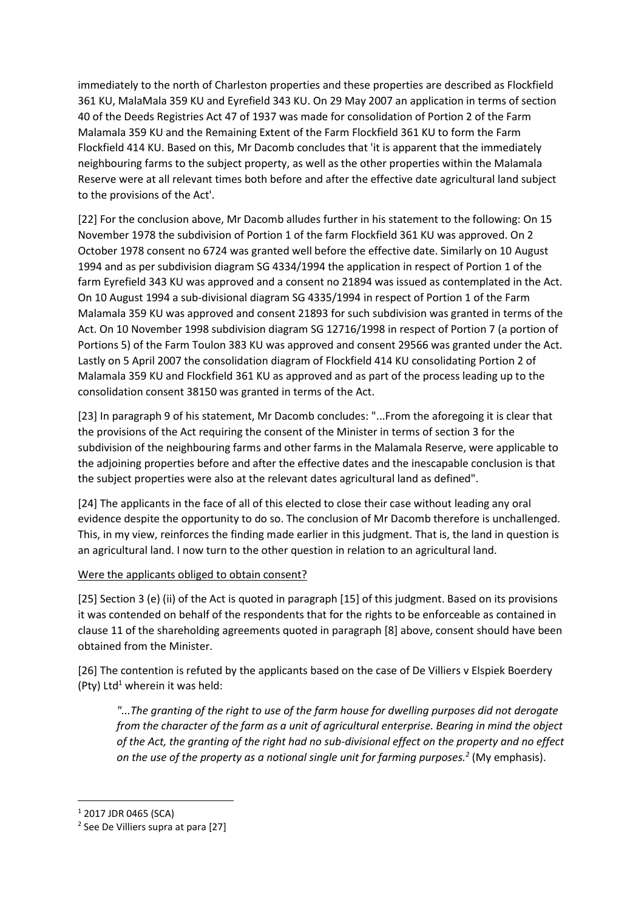immediately to the north of Charleston properties and these properties are described as Flockfield 361 KU, MalaMala 359 KU and Eyrefield 343 KU. On 29 May 2007 an application in terms of section 40 of the Deeds Registries Act 47 of 1937 was made for consolidation of Portion 2 of the Farm Malamala 359 KU and the Remaining Extent of the Farm Flockfield 361 KU to form the Farm Flockfield 414 KU. Based on this, Mr Dacomb concludes that 'it is apparent that the immediately neighbouring farms to the subject property, as well as the other properties within the Malamala Reserve were at all relevant times both before and after the effective date agricultural land subject to the provisions of the Act'.

[22] For the conclusion above, Mr Dacomb alludes further in his statement to the following: On 15 November 1978 the subdivision of Portion 1 of the farm Flockfield 361 KU was approved. On 2 October 1978 consent no 6724 was granted well before the effective date. Similarly on 10 August 1994 and as per subdivision diagram SG 4334/1994 the application in respect of Portion 1 of the farm Eyrefield 343 KU was approved and a consent no 21894 was issued as contemplated in the Act. On 10 August 1994 a sub-divisional diagram SG 4335/1994 in respect of Portion 1 of the Farm Malamala 359 KU was approved and consent 21893 for such subdivision was granted in terms of the Act. On 10 November 1998 subdivision diagram SG 12716/1998 in respect of Portion 7 (a portion of Portions 5) of the Farm Toulon 383 KU was approved and consent 29566 was granted under the Act. Lastly on 5 April 2007 the consolidation diagram of Flockfield 414 KU consolidating Portion 2 of Malamala 359 KU and Flockfield 361 KU as approved and as part of the process leading up to the consolidation consent 38150 was granted in terms of the Act.

[23] In paragraph 9 of his statement, Mr Dacomb concludes: "...From the aforegoing it is clear that the provisions of the Act requiring the consent of the Minister in terms of section 3 for the subdivision of the neighbouring farms and other farms in the Malamala Reserve, were applicable to the adjoining properties before and after the effective dates and the inescapable conclusion is that the subject properties were also at the relevant dates agricultural land as defined".

[24] The applicants in the face of all of this elected to close their case without leading any oral evidence despite the opportunity to do so. The conclusion of Mr Dacomb therefore is unchallenged. This, in my view, reinforces the finding made earlier in this judgment. That is, the land in question is an agricultural land. I now turn to the other question in relation to an agricultural land.

# Were the applicants obliged to obtain consent?

[25] Section 3 (e) (ii) of the Act is quoted in paragraph [15] of this judgment. Based on its provisions it was contended on behalf of the respondents that for the rights to be enforceable as contained in clause 11 of the shareholding agreements quoted in paragraph [8] above, consent should have been obtained from the Minister.

[26] The contention is refuted by the applicants based on the case of De Villiers v Elspiek Boerdery (Pty) Ltd<sup>1</sup> wherein it was held:

*"...The granting of the right to use of the farm house for dwelling purposes did not derogate from the character of the farm as a unit of agricultural enterprise. Bearing in mind the object of the Act, the granting of the right had no sub-divisional effect on the property and no effect on the use of the property as a notional single unit for farming purposes.<sup>2</sup>* (My emphasis).

1

<sup>1</sup> 2017 JDR 0465 (SCA)

<sup>&</sup>lt;sup>2</sup> See De Villiers supra at para [27]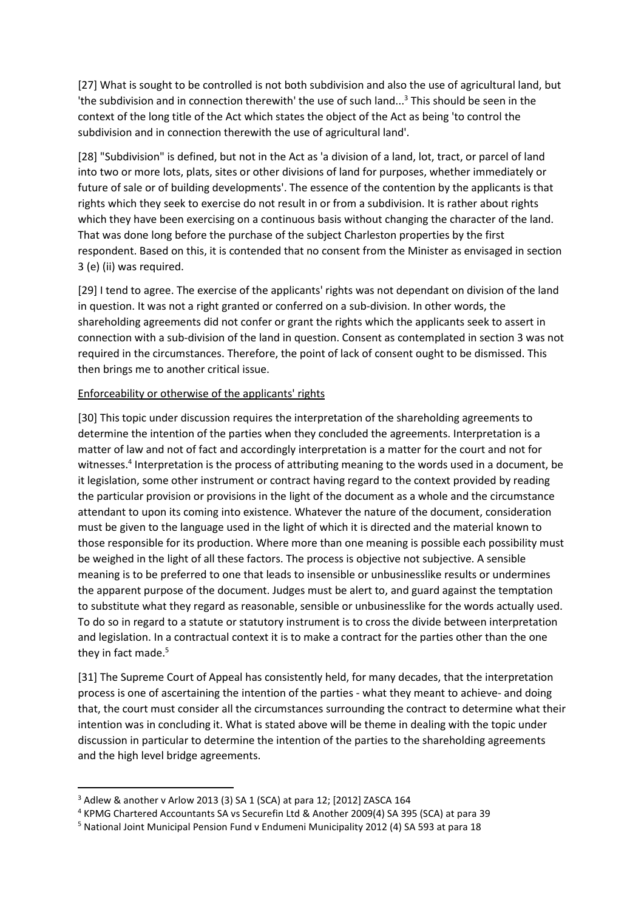[27] What is sought to be controlled is not both subdivision and also the use of agricultural land, but 'the subdivision and in connection therewith' the use of such land...<sup>3</sup> This should be seen in the context of the long title of the Act which states the object of the Act as being 'to control the subdivision and in connection therewith the use of agricultural land'.

[28] "Subdivision" is defined, but not in the Act as 'a division of a land, lot, tract, or parcel of land into two or more lots, plats, sites or other divisions of land for purposes, whether immediately or future of sale or of building developments'. The essence of the contention by the applicants is that rights which they seek to exercise do not result in or from a subdivision. It is rather about rights which they have been exercising on a continuous basis without changing the character of the land. That was done long before the purchase of the subject Charleston properties by the first respondent. Based on this, it is contended that no consent from the Minister as envisaged in section 3 (e) (ii) was required.

[29] I tend to agree. The exercise of the applicants' rights was not dependant on division of the land in question. It was not a right granted or conferred on a sub-division. In other words, the shareholding agreements did not confer or grant the rights which the applicants seek to assert in connection with a sub-division of the land in question. Consent as contemplated in section 3 was not required in the circumstances. Therefore, the point of lack of consent ought to be dismissed. This then brings me to another critical issue.

## Enforceability or otherwise of the applicants' rights

[30] This topic under discussion requires the interpretation of the shareholding agreements to determine the intention of the parties when they concluded the agreements. Interpretation is a matter of law and not of fact and accordingly interpretation is a matter for the court and not for witnesses.<sup>4</sup> Interpretation is the process of attributing meaning to the words used in a document, be it legislation, some other instrument or contract having regard to the context provided by reading the particular provision or provisions in the light of the document as a whole and the circumstance attendant to upon its coming into existence. Whatever the nature of the document, consideration must be given to the language used in the light of which it is directed and the material known to those responsible for its production. Where more than one meaning is possible each possibility must be weighed in the light of all these factors. The process is objective not subjective. A sensible meaning is to be preferred to one that leads to insensible or unbusinesslike results or undermines the apparent purpose of the document. Judges must be alert to, and guard against the temptation to substitute what they regard as reasonable, sensible or unbusinesslike for the words actually used. To do so in regard to a statute or statutory instrument is to cross the divide between interpretation and legislation. In a contractual context it is to make a contract for the parties other than the one they in fact made.<sup>5</sup>

[31] The Supreme Court of Appeal has consistently held, for many decades, that the interpretation process is one of ascertaining the intention of the parties - what they meant to achieve- and doing that, the court must consider all the circumstances surrounding the contract to determine what their intention was in concluding it. What is stated above will be theme in dealing with the topic under discussion in particular to determine the intention of the parties to the shareholding agreements and the high level bridge agreements.

**.** 

<sup>3</sup> Adlew & another v Arlow 2013 (3) SA 1 (SCA) at para 12; [2012] ZASCA 164

<sup>4</sup> KPMG Chartered Accountants SA vs Securefin Ltd & Another 2009(4) SA 395 (SCA) at para 39

<sup>5</sup> National Joint Municipal Pension Fund v Endumeni Municipality 2012 (4) SA 593 at para 18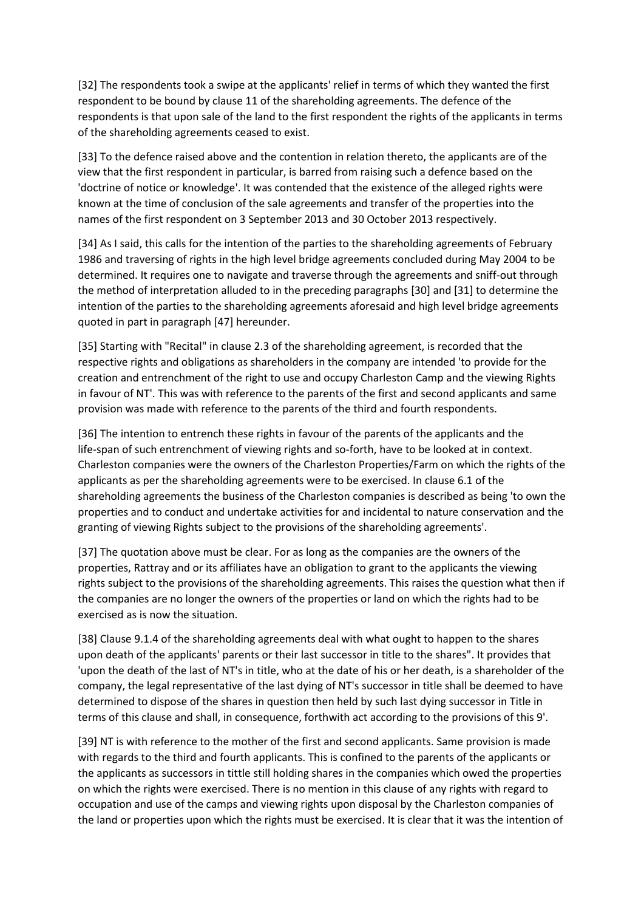[32] The respondents took a swipe at the applicants' relief in terms of which they wanted the first respondent to be bound by clause 11 of the shareholding agreements. The defence of the respondents is that upon sale of the land to the first respondent the rights of the applicants in terms of the shareholding agreements ceased to exist.

[33] To the defence raised above and the contention in relation thereto, the applicants are of the view that the first respondent in particular, is barred from raising such a defence based on the 'doctrine of notice or knowledge'. It was contended that the existence of the alleged rights were known at the time of conclusion of the sale agreements and transfer of the properties into the names of the first respondent on 3 September 2013 and 30 October 2013 respectively.

[34] As I said, this calls for the intention of the parties to the shareholding agreements of February 1986 and traversing of rights in the high level bridge agreements concluded during May 2004 to be determined. It requires one to navigate and traverse through the agreements and sniff-out through the method of interpretation alluded to in the preceding paragraphs [30] and [31] to determine the intention of the parties to the shareholding agreements aforesaid and high level bridge agreements quoted in part in paragraph [47] hereunder.

[35] Starting with "Recital" in clause 2.3 of the shareholding agreement, is recorded that the respective rights and obligations as shareholders in the company are intended 'to provide for the creation and entrenchment of the right to use and occupy Charleston Camp and the viewing Rights in favour of NT'. This was with reference to the parents of the first and second applicants and same provision was made with reference to the parents of the third and fourth respondents.

[36] The intention to entrench these rights in favour of the parents of the applicants and the life-span of such entrenchment of viewing rights and so-forth, have to be looked at in context. Charleston companies were the owners of the Charleston Properties/Farm on which the rights of the applicants as per the shareholding agreements were to be exercised. In clause 6.1 of the shareholding agreements the business of the Charleston companies is described as being 'to own the properties and to conduct and undertake activities for and incidental to nature conservation and the granting of viewing Rights subject to the provisions of the shareholding agreements'.

[37] The quotation above must be clear. For as long as the companies are the owners of the properties, Rattray and or its affiliates have an obligation to grant to the applicants the viewing rights subject to the provisions of the shareholding agreements. This raises the question what then if the companies are no longer the owners of the properties or land on which the rights had to be exercised as is now the situation.

[38] Clause 9.1.4 of the shareholding agreements deal with what ought to happen to the shares upon death of the applicants' parents or their last successor in title to the shares". It provides that 'upon the death of the last of NT's in title, who at the date of his or her death, is a shareholder of the company, the legal representative of the last dying of NT's successor in title shall be deemed to have determined to dispose of the shares in question then held by such last dying successor in Title in terms of this clause and shall, in consequence, forthwith act according to the provisions of this 9'.

[39] NT is with reference to the mother of the first and second applicants. Same provision is made with regards to the third and fourth applicants. This is confined to the parents of the applicants or the applicants as successors in tittle still holding shares in the companies which owed the properties on which the rights were exercised. There is no mention in this clause of any rights with regard to occupation and use of the camps and viewing rights upon disposal by the Charleston companies of the land or properties upon which the rights must be exercised. It is clear that it was the intention of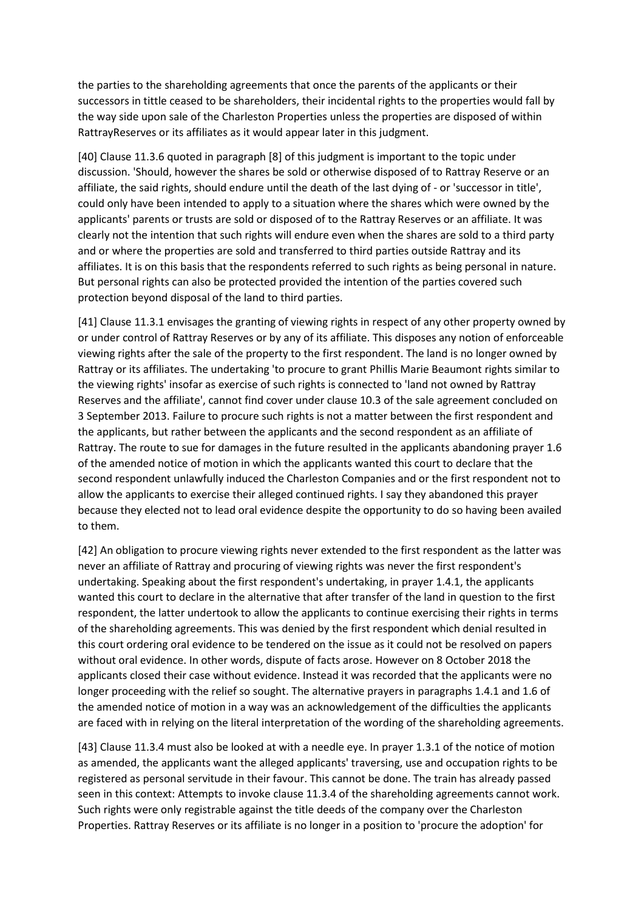the parties to the shareholding agreements that once the parents of the applicants or their successors in tittle ceased to be shareholders, their incidental rights to the properties would fall by the way side upon sale of the Charleston Properties unless the properties are disposed of within RattrayReserves or its affiliates as it would appear later in this judgment.

[40] Clause 11.3.6 quoted in paragraph [8] of this judgment is important to the topic under discussion. 'Should, however the shares be sold or otherwise disposed of to Rattray Reserve or an affiliate, the said rights, should endure until the death of the last dying of - or 'successor in title', could only have been intended to apply to a situation where the shares which were owned by the applicants' parents or trusts are sold or disposed of to the Rattray Reserves or an affiliate. It was clearly not the intention that such rights will endure even when the shares are sold to a third party and or where the properties are sold and transferred to third parties outside Rattray and its affiliates. It is on this basis that the respondents referred to such rights as being personal in nature. But personal rights can also be protected provided the intention of the parties covered such protection beyond disposal of the land to third parties.

[41] Clause 11.3.1 envisages the granting of viewing rights in respect of any other property owned by or under control of Rattray Reserves or by any of its affiliate. This disposes any notion of enforceable viewing rights after the sale of the property to the first respondent. The land is no longer owned by Rattray or its affiliates. The undertaking 'to procure to grant Phillis Marie Beaumont rights similar to the viewing rights' insofar as exercise of such rights is connected to 'land not owned by Rattray Reserves and the affiliate', cannot find cover under clause 10.3 of the sale agreement concluded on 3 September 2013. Failure to procure such rights is not a matter between the first respondent and the applicants, but rather between the applicants and the second respondent as an affiliate of Rattray. The route to sue for damages in the future resulted in the applicants abandoning prayer 1.6 of the amended notice of motion in which the applicants wanted this court to declare that the second respondent unlawfully induced the Charleston Companies and or the first respondent not to allow the applicants to exercise their alleged continued rights. I say they abandoned this prayer because they elected not to lead oral evidence despite the opportunity to do so having been availed to them.

[42] An obligation to procure viewing rights never extended to the first respondent as the latter was never an affiliate of Rattray and procuring of viewing rights was never the first respondent's undertaking. Speaking about the first respondent's undertaking, in prayer 1.4.1, the applicants wanted this court to declare in the alternative that after transfer of the land in question to the first respondent, the latter undertook to allow the applicants to continue exercising their rights in terms of the shareholding agreements. This was denied by the first respondent which denial resulted in this court ordering oral evidence to be tendered on the issue as it could not be resolved on papers without oral evidence. In other words, dispute of facts arose. However on 8 October 2018 the applicants closed their case without evidence. Instead it was recorded that the applicants were no longer proceeding with the relief so sought. The alternative prayers in paragraphs 1.4.1 and 1.6 of the amended notice of motion in a way was an acknowledgement of the difficulties the applicants are faced with in relying on the literal interpretation of the wording of the shareholding agreements.

[43] Clause 11.3.4 must also be looked at with a needle eye. In prayer 1.3.1 of the notice of motion as amended, the applicants want the alleged applicants' traversing, use and occupation rights to be registered as personal servitude in their favour. This cannot be done. The train has already passed seen in this context: Attempts to invoke clause 11.3.4 of the shareholding agreements cannot work. Such rights were only registrable against the title deeds of the company over the Charleston Properties. Rattray Reserves or its affiliate is no longer in a position to 'procure the adoption' for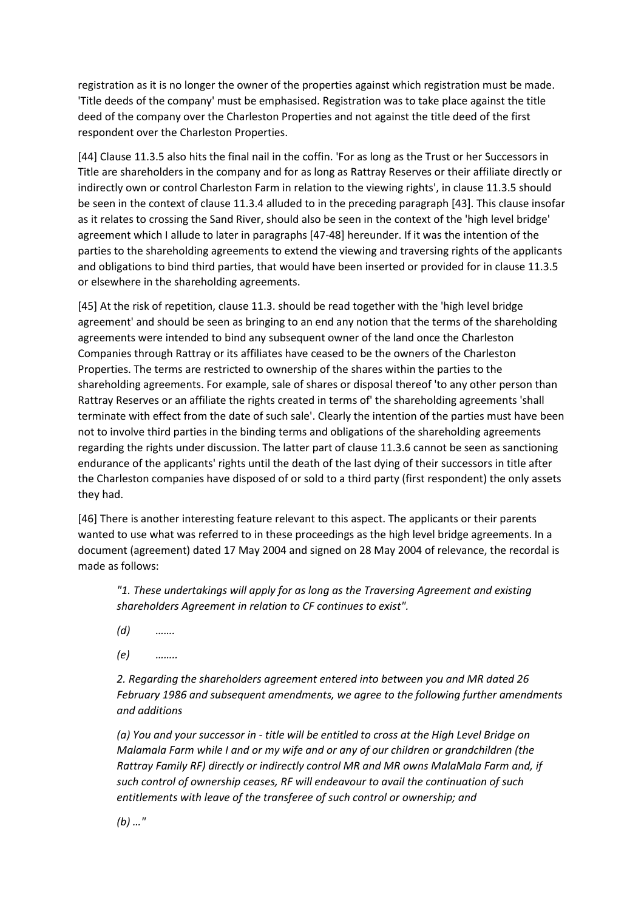registration as it is no longer the owner of the properties against which registration must be made. 'Title deeds of the company' must be emphasised. Registration was to take place against the title deed of the company over the Charleston Properties and not against the title deed of the first respondent over the Charleston Properties.

[44] Clause 11.3.5 also hits the final nail in the coffin. 'For as long as the Trust or her Successors in Title are shareholders in the company and for as long as Rattray Reserves or their affiliate directly or indirectly own or control Charleston Farm in relation to the viewing rights', in clause 11.3.5 should be seen in the context of clause 11.3.4 alluded to in the preceding paragraph [43]. This clause insofar as it relates to crossing the Sand River, should also be seen in the context of the 'high level bridge' agreement which I allude to later in paragraphs [47-48] hereunder. If it was the intention of the parties to the shareholding agreements to extend the viewing and traversing rights of the applicants and obligations to bind third parties, that would have been inserted or provided for in clause 11.3.5 or elsewhere in the shareholding agreements.

[45] At the risk of repetition, clause 11.3. should be read together with the 'high level bridge agreement' and should be seen as bringing to an end any notion that the terms of the shareholding agreements were intended to bind any subsequent owner of the land once the Charleston Companies through Rattray or its affiliates have ceased to be the owners of the Charleston Properties. The terms are restricted to ownership of the shares within the parties to the shareholding agreements. For example, sale of shares or disposal thereof 'to any other person than Rattray Reserves or an affiliate the rights created in terms of' the shareholding agreements 'shall terminate with effect from the date of such sale'. Clearly the intention of the parties must have been not to involve third parties in the binding terms and obligations of the shareholding agreements regarding the rights under discussion. The latter part of clause 11.3.6 cannot be seen as sanctioning endurance of the applicants' rights until the death of the last dying of their successors in title after the Charleston companies have disposed of or sold to a third party (first respondent) the only assets they had.

[46] There is another interesting feature relevant to this aspect. The applicants or their parents wanted to use what was referred to in these proceedings as the high level bridge agreements. In a document (agreement) dated 17 May 2004 and signed on 28 May 2004 of relevance, the recordal is made as follows:

*"1. These undertakings will apply for as long as the Traversing Agreement and existing shareholders Agreement in relation to CF continues to exist".*

- *(d) …….*
- *(e) ……..*

*2. Regarding the shareholders agreement entered into between you and MR dated 26 February 1986 and subsequent amendments, we agree to the following further amendments and additions*

*(a) You and your successor in - title will be entitled to cross at the High Level Bridge on Malamala Farm while I and or my wife and or any of our children or grandchildren (the Rattray Family RF) directly or indirectly control MR and MR owns MalaMala Farm and, if such control of ownership ceases, RF will endeavour to avail the continuation of such entitlements with leave of the transferee of such control or ownership; and*

*(b) …"*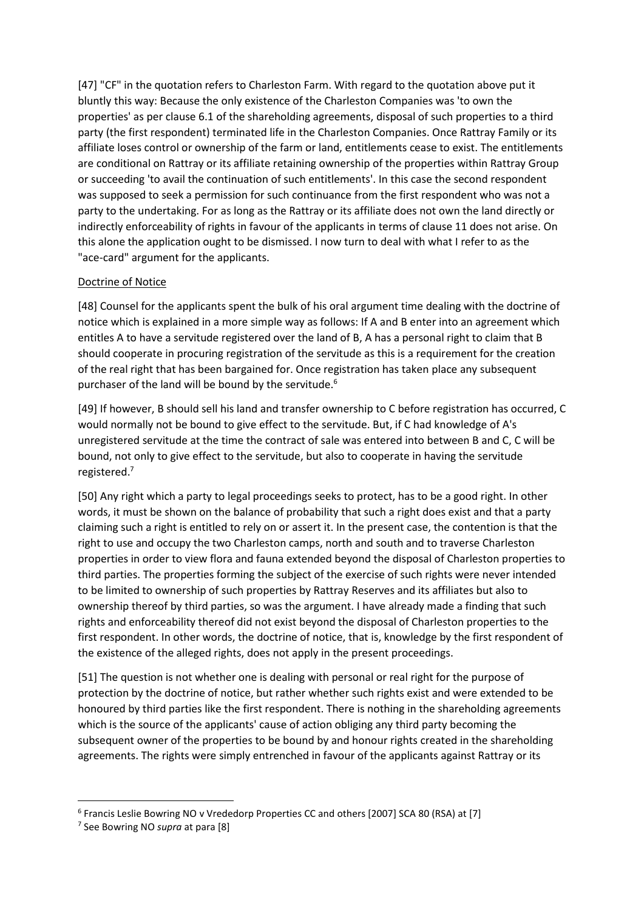[47] "CF" in the quotation refers to Charleston Farm. With regard to the quotation above put it bluntly this way: Because the only existence of the Charleston Companies was 'to own the properties' as per clause 6.1 of the shareholding agreements, disposal of such properties to a third party (the first respondent) terminated life in the Charleston Companies. Once Rattray Family or its affiliate loses control or ownership of the farm or land, entitlements cease to exist. The entitlements are conditional on Rattray or its affiliate retaining ownership of the properties within Rattray Group or succeeding 'to avail the continuation of such entitlements'. In this case the second respondent was supposed to seek a permission for such continuance from the first respondent who was not a party to the undertaking. For as long as the Rattray or its affiliate does not own the land directly or indirectly enforceability of rights in favour of the applicants in terms of clause 11 does not arise. On this alone the application ought to be dismissed. I now turn to deal with what I refer to as the "ace-card" argument for the applicants.

# Doctrine of Notice

[48] Counsel for the applicants spent the bulk of his oral argument time dealing with the doctrine of notice which is explained in a more simple way as follows: If A and B enter into an agreement which entitles A to have a servitude registered over the land of B, A has a personal right to claim that B should cooperate in procuring registration of the servitude as this is a requirement for the creation of the real right that has been bargained for. Once registration has taken place any subsequent purchaser of the land will be bound by the servitude.<sup>6</sup>

[49] If however, B should sell his land and transfer ownership to C before registration has occurred, C would normally not be bound to give effect to the servitude. But, if C had knowledge of A's unregistered servitude at the time the contract of sale was entered into between B and C, C will be bound, not only to give effect to the servitude, but also to cooperate in having the servitude registered.<sup>7</sup>

[50] Any right which a party to legal proceedings seeks to protect, has to be a good right. In other words, it must be shown on the balance of probability that such a right does exist and that a party claiming such a right is entitled to rely on or assert it. In the present case, the contention is that the right to use and occupy the two Charleston camps, north and south and to traverse Charleston properties in order to view flora and fauna extended beyond the disposal of Charleston properties to third parties. The properties forming the subject of the exercise of such rights were never intended to be limited to ownership of such properties by Rattray Reserves and its affiliates but also to ownership thereof by third parties, so was the argument. I have already made a finding that such rights and enforceability thereof did not exist beyond the disposal of Charleston properties to the first respondent. In other words, the doctrine of notice, that is, knowledge by the first respondent of the existence of the alleged rights, does not apply in the present proceedings.

[51] The question is not whether one is dealing with personal or real right for the purpose of protection by the doctrine of notice, but rather whether such rights exist and were extended to be honoured by third parties like the first respondent. There is nothing in the shareholding agreements which is the source of the applicants' cause of action obliging any third party becoming the subsequent owner of the properties to be bound by and honour rights created in the shareholding agreements. The rights were simply entrenched in favour of the applicants against Rattray or its

1

<sup>&</sup>lt;sup>6</sup> Francis Leslie Bowring NO v Vrededorp Properties CC and others [2007] SCA 80 (RSA) at [7]

<sup>7</sup> See Bowring NO *supra* at para [8]